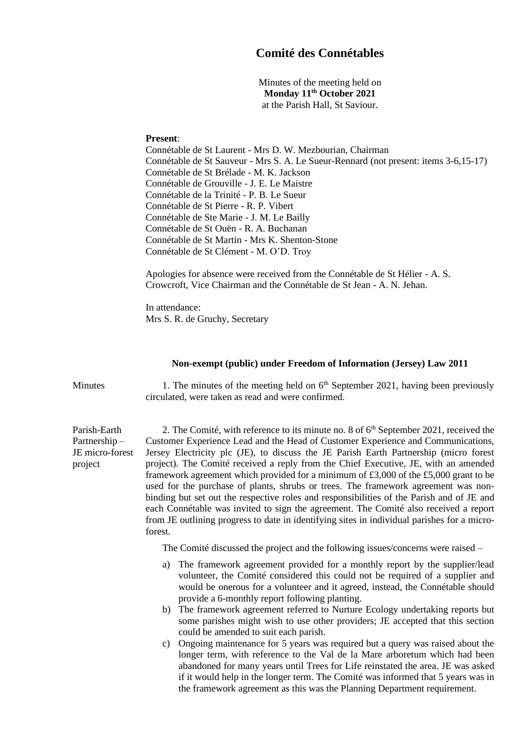## **Comité des Connétables**

Minutes of the meeting held on **Monday 11th October 2021** at the Parish Hall, St Saviour.

## **Present**:

project

Connétable de St Laurent - Mrs D. W. Mezbourian, Chairman Connétable de St Sauveur - Mrs S. A. Le Sueur-Rennard (not present: items 3-6,15-17) Connétable de St Brélade - M. K. Jackson Connétable de Grouville - J. E. Le Maistre Connétable de la Trinité - P. B. Le Sueur Connétable de St Pierre - R. P. Vibert Connétable de Ste Marie - J. M. Le Bailly Connétable de St Ouën - R. A. Buchanan Connétable de St Martin - Mrs K. Shenton-Stone Connétable de St Clément - M. O'D. Troy

Apologies for absence were received from the Connétable de St Hélier - A. S. Crowcroft, Vice Chairman and the Connétable de St Jean - A. N. Jehan.

In attendance: Mrs S. R. de Gruchy, Secretary

## **Non-exempt (public) under Freedom of Information (Jersey) Law 2011**

Minutes 1. The minutes of the meeting held on  $6<sup>th</sup>$  September 2021, having been previously circulated, were taken as read and were confirmed.

Parish-Earth Partnership – JE micro-forest 2. The Comité, with reference to its minute no. 8 of  $6<sup>th</sup>$  September 2021, received the Customer Experience Lead and the Head of Customer Experience and Communications, Jersey Electricity plc (JE), to discuss the JE Parish Earth Partnership (micro forest project). The Comité received a reply from the Chief Executive, JE, with an amended framework agreement which provided for a minimum of £3,000 of the £5,000 grant to be used for the purchase of plants, shrubs or trees. The framework agreement was nonbinding but set out the respective roles and responsibilities of the Parish and of JE and each Connétable was invited to sign the agreement. The Comité also received a report from JE outlining progress to date in identifying sites in individual parishes for a microforest.

The Comité discussed the project and the following issues/concerns were raised –

- a) The framework agreement provided for a monthly report by the supplier/lead volunteer, the Comité considered this could not be required of a supplier and would be onerous for a volunteer and it agreed, instead, the Connétable should provide a 6-monthly report following planting.
- b) The framework agreement referred to Nurture Ecology undertaking reports but some parishes might wish to use other providers; JE accepted that this section could be amended to suit each parish.
- c) Ongoing maintenance for 5 years was required but a query was raised about the longer term, with reference to the Val de la Mare arboretum which had been abandoned for many years until Trees for Life reinstated the area. JE was asked if it would help in the longer term. The Comité was informed that 5 years was in the framework agreement as this was the Planning Department requirement.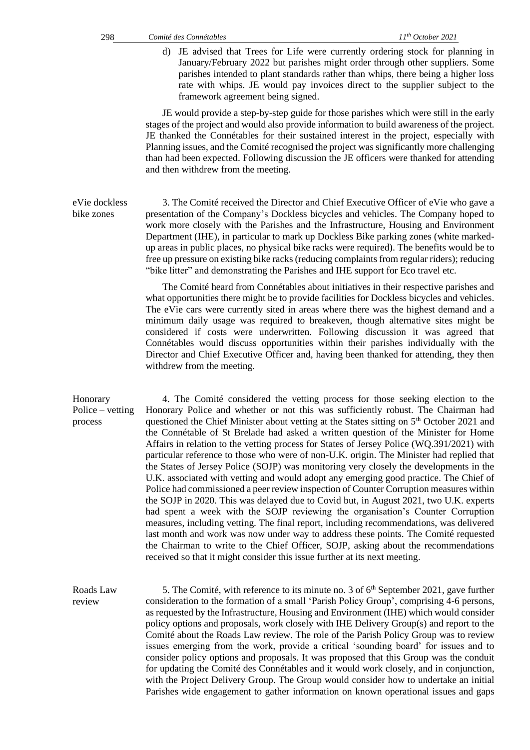d) JE advised that Trees for Life were currently ordering stock for planning in January/February 2022 but parishes might order through other suppliers. Some parishes intended to plant standards rather than whips, there being a higher loss rate with whips. JE would pay invoices direct to the supplier subject to the framework agreement being signed.

JE would provide a step-by-step guide for those parishes which were still in the early stages of the project and would also provide information to build awareness of the project. JE thanked the Connétables for their sustained interest in the project, especially with Planning issues, and the Comité recognised the project was significantly more challenging than had been expected. Following discussion the JE officers were thanked for attending and then withdrew from the meeting.

eVie dockless bike zones 3. The Comité received the Director and Chief Executive Officer of eVie who gave a presentation of the Company's Dockless bicycles and vehicles. The Company hoped to work more closely with the Parishes and the Infrastructure, Housing and Environment Department (IHE), in particular to mark up Dockless Bike parking zones (white markedup areas in public places, no physical bike racks were required). The benefits would be to free up pressure on existing bike racks (reducing complaints from regular riders); reducing "bike litter" and demonstrating the Parishes and IHE support for Eco travel etc.

> The Comité heard from Connétables about initiatives in their respective parishes and what opportunities there might be to provide facilities for Dockless bicycles and vehicles. The eVie cars were currently sited in areas where there was the highest demand and a minimum daily usage was required to breakeven, though alternative sites might be considered if costs were underwritten. Following discussion it was agreed that Connétables would discuss opportunities within their parishes individually with the Director and Chief Executive Officer and, having been thanked for attending, they then withdrew from the meeting.

Honorary Police – vetting process 4. The Comité considered the vetting process for those seeking election to the Honorary Police and whether or not this was sufficiently robust. The Chairman had questioned the Chief Minister about vetting at the States sitting on 5<sup>th</sup> October 2021 and the Connétable of St Brelade had asked a written question of the Minister for Home Affairs in relation to the vetting process for States of Jersey Police (WQ.391/2021) with particular reference to those who were of non-U.K. origin. The Minister had replied that the States of Jersey Police (SOJP) was monitoring very closely the developments in the U.K. associated with vetting and would adopt any emerging good practice. The Chief of Police had commissioned a peer review inspection of Counter Corruption measures within the SOJP in 2020. This was delayed due to Covid but, in August 2021, two U.K. experts had spent a week with the SOJP reviewing the organisation's Counter Corruption measures, including vetting. The final report, including recommendations, was delivered last month and work was now under way to address these points. The Comité requested the Chairman to write to the Chief Officer, SOJP, asking about the recommendations received so that it might consider this issue further at its next meeting.

Roads Law review 5. The Comité, with reference to its minute no. 3 of  $6<sup>th</sup>$  September 2021, gave further consideration to the formation of a small 'Parish Policy Group', comprising 4-6 persons, as requested by the Infrastructure, Housing and Environment (IHE) which would consider policy options and proposals, work closely with IHE Delivery Group(s) and report to the Comité about the Roads Law review. The role of the Parish Policy Group was to review issues emerging from the work, provide a critical 'sounding board' for issues and to consider policy options and proposals. It was proposed that this Group was the conduit for updating the Comité des Connétables and it would work closely, and in conjunction, with the Project Delivery Group. The Group would consider how to undertake an initial Parishes wide engagement to gather information on known operational issues and gaps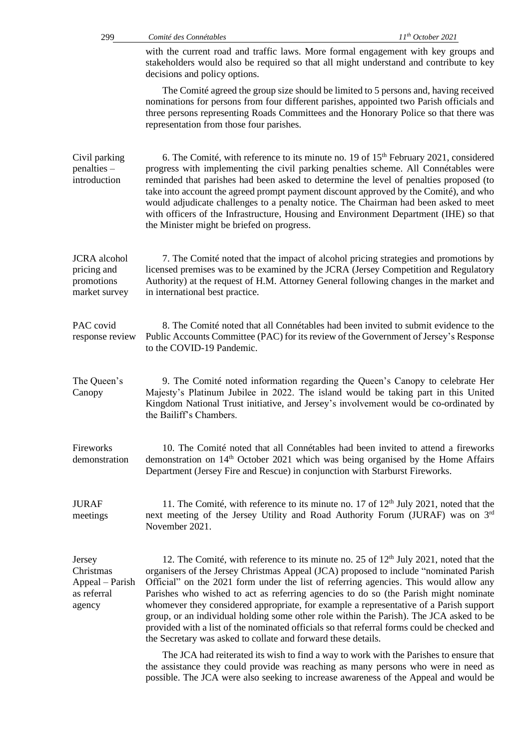| 299                                                               | Comité des Connétables                                        | 11 <sup>th</sup> October 2021                                                                                                                                                                                                                                                                                                                                                                                                                                                                                                                                                                                                                                   |
|-------------------------------------------------------------------|---------------------------------------------------------------|-----------------------------------------------------------------------------------------------------------------------------------------------------------------------------------------------------------------------------------------------------------------------------------------------------------------------------------------------------------------------------------------------------------------------------------------------------------------------------------------------------------------------------------------------------------------------------------------------------------------------------------------------------------------|
|                                                                   | decisions and policy options.                                 | with the current road and traffic laws. More formal engagement with key groups and<br>stakeholders would also be required so that all might understand and contribute to key                                                                                                                                                                                                                                                                                                                                                                                                                                                                                    |
|                                                                   | representation from those four parishes.                      | The Comité agreed the group size should be limited to 5 persons and, having received<br>nominations for persons from four different parishes, appointed two Parish officials and<br>three persons representing Roads Committees and the Honorary Police so that there was                                                                                                                                                                                                                                                                                                                                                                                       |
| Civil parking<br>$penalties -$<br>introduction                    | the Minister might be briefed on progress.                    | 6. The Comité, with reference to its minute no. 19 of $15th$ February 2021, considered<br>progress with implementing the civil parking penalties scheme. All Connétables were<br>reminded that parishes had been asked to determine the level of penalties proposed (to<br>take into account the agreed prompt payment discount approved by the Comité), and who<br>would adjudicate challenges to a penalty notice. The Chairman had been asked to meet<br>with officers of the Infrastructure, Housing and Environment Department (IHE) so that                                                                                                               |
| <b>JCRA</b> alcohol<br>pricing and<br>promotions<br>market survey | in international best practice.                               | 7. The Comité noted that the impact of alcohol pricing strategies and promotions by<br>licensed premises was to be examined by the JCRA (Jersey Competition and Regulatory<br>Authority) at the request of H.M. Attorney General following changes in the market and                                                                                                                                                                                                                                                                                                                                                                                            |
| PAC covid<br>response review                                      | to the COVID-19 Pandemic.                                     | 8. The Comité noted that all Connétables had been invited to submit evidence to the<br>Public Accounts Committee (PAC) for its review of the Government of Jersey's Response                                                                                                                                                                                                                                                                                                                                                                                                                                                                                    |
| The Queen's<br>Canopy                                             | the Bailiff's Chambers.                                       | 9. The Comité noted information regarding the Queen's Canopy to celebrate Her<br>Majesty's Platinum Jubilee in 2022. The island would be taking part in this United<br>Kingdom National Trust initiative, and Jersey's involvement would be co-ordinated by                                                                                                                                                                                                                                                                                                                                                                                                     |
| Fireworks<br>demonstration                                        |                                                               | 10. The Comité noted that all Connétables had been invited to attend a fireworks<br>demonstration on 14 <sup>th</sup> October 2021 which was being organised by the Home Affairs<br>Department (Jersey Fire and Rescue) in conjunction with Starburst Fireworks.                                                                                                                                                                                                                                                                                                                                                                                                |
| <b>JURAF</b><br>meetings                                          | November 2021.                                                | 11. The Comité, with reference to its minute no. 17 of $12th$ July 2021, noted that the<br>next meeting of the Jersey Utility and Road Authority Forum (JURAF) was on 3 <sup>rd</sup>                                                                                                                                                                                                                                                                                                                                                                                                                                                                           |
| Jersey<br>Christmas<br>Appeal – Parish<br>as referral<br>agency   | the Secretary was asked to collate and forward these details. | 12. The Comité, with reference to its minute no. 25 of 12 <sup>th</sup> July 2021, noted that the<br>organisers of the Jersey Christmas Appeal (JCA) proposed to include "nominated Parish<br>Official" on the 2021 form under the list of referring agencies. This would allow any<br>Parishes who wished to act as referring agencies to do so (the Parish might nominate<br>whomever they considered appropriate, for example a representative of a Parish support<br>group, or an individual holding some other role within the Parish). The JCA asked to be<br>provided with a list of the nominated officials so that referral forms could be checked and |
|                                                                   |                                                               | The JCA had reiterated its wish to find a way to work with the Parishes to ensure that<br>the assistance they could provide was reaching as many persons who were in need as<br>possible. The JCA were also seeking to increase awareness of the Appeal and would be                                                                                                                                                                                                                                                                                                                                                                                            |